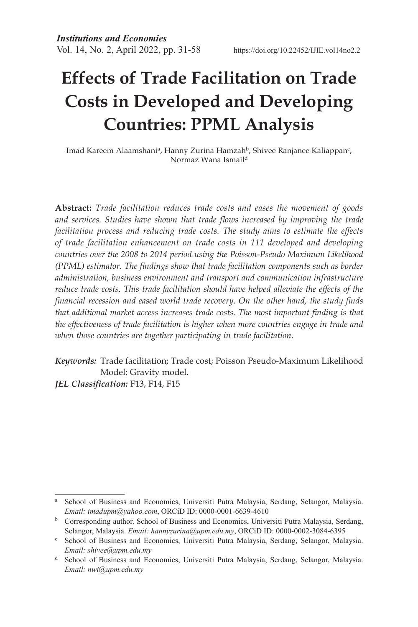# **Effects of Trade Facilitation on Trade Costs in Developed and Developing Countries: PPML Analysis**

Imad Kareem Alaamshani<sup>a</sup>, Hanny Zurina Hamzah<sup>b</sup>, Shivee Ranjanee Kaliappan<sup>c</sup>, Normaz Wana Ismaild

**Abstract:** *Trade facilitation reduces trade costs and eases the movement of goods and services. Studies have shown that trade flows increased by improving the trade facilitation process and reducing trade costs. The study aims to estimate the effects of trade facilitation enhancement on trade costs in 111 developed and developing countries over the 2008 to 2014 period using the Poisson-Pseudo Maximum Likelihood (PPML) estimator. The findings show that trade facilitation components such as border administration, business environment and transport and communication infrastructure reduce trade costs. This trade facilitation should have helped alleviate the effects of the financial recession and eased world trade recovery. On the other hand, the study finds that additional market access increases trade costs. The most important finding is that the effectiveness of trade facilitation is higher when more countries engage in trade and when those countries are together participating in trade facilitation.* 

*Keywords:* Trade facilitation; Trade cost; Poisson Pseudo-Maximum Likelihood Model; Gravity model.

*JEL Classification:* F13, F14, F15

<sup>a</sup> School of Business and Economics, Universiti Putra Malaysia, Serdang, Selangor, Malaysia. *Email: imadupm@yahoo.com*, ORCiD ID: 0000-0001-6639-4610

**b** Corresponding author. School of Business and Economics, Universiti Putra Malaysia, Serdang, Selangor, Malaysia. *Email: hannyzurina@upm.edu.my*, ORCiD ID: 0000-0002-3084-6395

<sup>c</sup> School of Business and Economics, Universiti Putra Malaysia, Serdang, Selangor, Malaysia. *Email: shivee@upm.edu.my*

<sup>d</sup> School of Business and Economics, Universiti Putra Malaysia, Serdang, Selangor, Malaysia. *Email: nwi@upm.edu.my*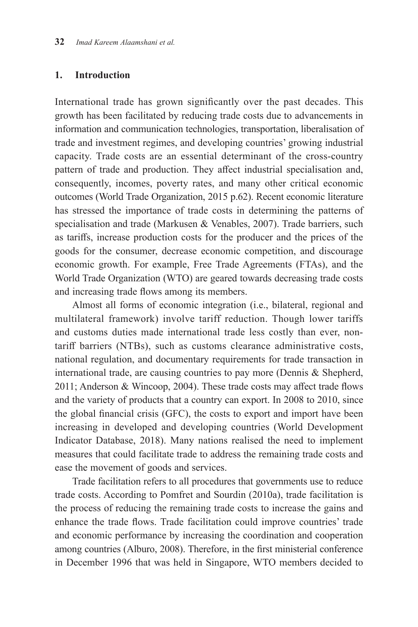#### **1. Introduction**

International trade has grown significantly over the past decades. This growth has been facilitated by reducing trade costs due to advancements in information and communication technologies, transportation, liberalisation of trade and investment regimes, and developing countries' growing industrial capacity. Trade costs are an essential determinant of the cross-country pattern of trade and production. They affect industrial specialisation and, consequently, incomes, poverty rates, and many other critical economic outcomes (World Trade Organization, 2015 p.62). Recent economic literature has stressed the importance of trade costs in determining the patterns of specialisation and trade (Markusen & Venables, 2007). Trade barriers, such as tariffs, increase production costs for the producer and the prices of the goods for the consumer, decrease economic competition, and discourage economic growth. For example, Free Trade Agreements (FTAs), and the World Trade Organization (WTO) are geared towards decreasing trade costs and increasing trade flows among its members.

Almost all forms of economic integration (i.e., bilateral, regional and multilateral framework) involve tariff reduction. Though lower tariffs and customs duties made international trade less costly than ever, nontariff barriers (NTBs), such as customs clearance administrative costs, national regulation, and documentary requirements for trade transaction in international trade, are causing countries to pay more (Dennis & Shepherd, 2011; Anderson & Wincoop, 2004). These trade costs may affect trade flows and the variety of products that a country can export. In 2008 to 2010, since the global financial crisis (GFC), the costs to export and import have been increasing in developed and developing countries (World Development Indicator Database, 2018). Many nations realised the need to implement measures that could facilitate trade to address the remaining trade costs and ease the movement of goods and services.

Trade facilitation refers to all procedures that governments use to reduce trade costs. According to Pomfret and Sourdin (2010a), trade facilitation is the process of reducing the remaining trade costs to increase the gains and enhance the trade flows. Trade facilitation could improve countries' trade and economic performance by increasing the coordination and cooperation among countries (Alburo, 2008). Therefore, in the first ministerial conference in December 1996 that was held in Singapore, WTO members decided to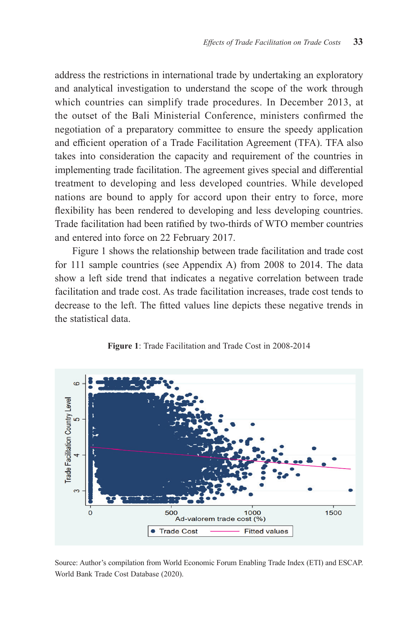address the restrictions in international trade by undertaking an exploratory and analytical investigation to understand the scope of the work through which countries can simplify trade procedures. In December 2013, at the outset of the Bali Ministerial Conference, ministers confirmed the negotiation of a preparatory committee to ensure the speedy application and efficient operation of a Trade Facilitation Agreement (TFA). TFA also takes into consideration the capacity and requirement of the countries in implementing trade facilitation. The agreement gives special and differential treatment to developing and less developed countries. While developed nations are bound to apply for accord upon their entry to force, more flexibility has been rendered to developing and less developing countries. Trade facilitation had been ratified by two-thirds of WTO member countries and entered into force on 22 February 2017.

Figure 1 shows the relationship between trade facilitation and trade cost for 111 sample countries (see Appendix A) from 2008 to 2014. The data show a left side trend that indicates a negative correlation between trade facilitation and trade cost. As trade facilitation increases, trade cost tends to decrease to the left. The fitted values line depicts these negative trends in the statistical data.



#### **Figure 1**: Trade Facilitation and Trade Cost in 2008-2014

Source: Author's compilation from World Economic Forum Enabling Trade Index (ETI) and ESCAP. World Bank Trade Cost Database (2020).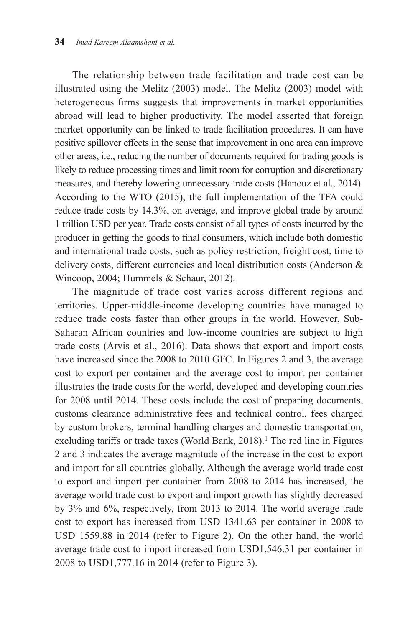The relationship between trade facilitation and trade cost can be illustrated using the Melitz (2003) model. The Melitz (2003) model with heterogeneous firms suggests that improvements in market opportunities abroad will lead to higher productivity. The model asserted that foreign market opportunity can be linked to trade facilitation procedures. It can have positive spillover effects in the sense that improvement in one area can improve other areas, i.e., reducing the number of documents required for trading goods is likely to reduce processing times and limit room for corruption and discretionary measures, and thereby lowering unnecessary trade costs (Hanouz et al., 2014). According to the WTO (2015), the full implementation of the TFA could reduce trade costs by 14.3%, on average, and improve global trade by around 1 trillion USD per year. Trade costs consist of all types of costs incurred by the producer in getting the goods to final consumers, which include both domestic and international trade costs, such as policy restriction, freight cost, time to delivery costs, different currencies and local distribution costs (Anderson & Wincoop, 2004; Hummels & Schaur, 2012).

The magnitude of trade cost varies across different regions and territories. Upper-middle-income developing countries have managed to reduce trade costs faster than other groups in the world. However, Sub-Saharan African countries and low-income countries are subject to high trade costs (Arvis et al., 2016). Data shows that export and import costs have increased since the 2008 to 2010 GFC. In Figures 2 and 3, the average cost to export per container and the average cost to import per container illustrates the trade costs for the world, developed and developing countries for 2008 until 2014. These costs include the cost of preparing documents, customs clearance administrative fees and technical control, fees charged by custom brokers, terminal handling charges and domestic transportation, excluding tariffs or trade taxes (World Bank, 2018).<sup>1</sup> The red line in Figures 2 and 3 indicates the average magnitude of the increase in the cost to export and import for all countries globally. Although the average world trade cost to export and import per container from 2008 to 2014 has increased, the average world trade cost to export and import growth has slightly decreased by 3% and 6%, respectively, from 2013 to 2014. The world average trade cost to export has increased from USD 1341.63 per container in 2008 to USD 1559.88 in 2014 (refer to Figure 2). On the other hand, the world average trade cost to import increased from USD1,546.31 per container in 2008 to USD1,777.16 in 2014 (refer to Figure 3).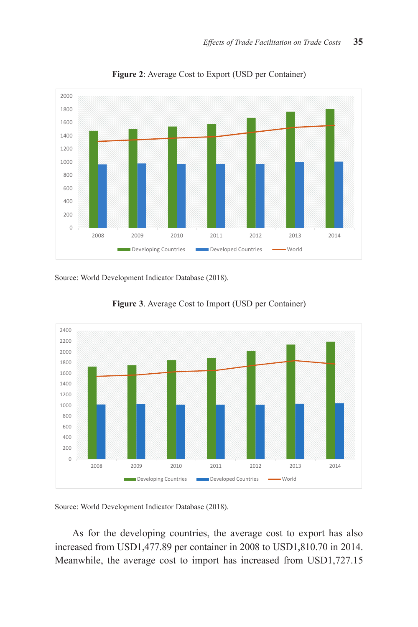

**Figure 2**: Average Cost to Export (USD per Container)

Source: World Development Indicator Database (2018).



**Figure 3**. Average Cost to Import (USD per Container)

Source: World Development Indicator Database (2018).

As for the developing countries, the average cost to export has also increased from USD1,477.89 per container in 2008 to USD1,810.70 in 2014. Meanwhile, the average cost to import has increased from USD1,727.15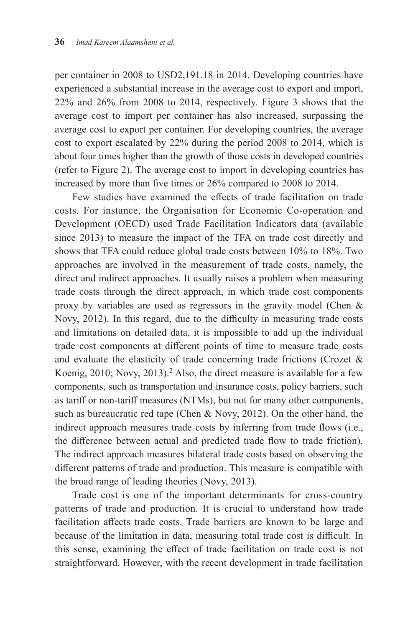per container in 2008 to USD2,191.18 in 2014. Developing countries have experienced a substantial increase in the average cost to export and import, 22% and 26% from 2008 to 2014, respectively. Figure 3 shows that the average cost to import per container has also increased, surpassing the average cost to export per container. For developing countries, the average cost to export escalated by 22% during the period 2008 to 2014, which is about four times higher than the growth of those costs in developed countries (refer to Figure 2). The average cost to import in developing countries has increased by more than five times or 26% compared to 2008 to 2014.

Few studies have examined the effects of trade facilitation on trade costs. For instance, the Organisation for Economic Co-operation and Development (OECD) used Trade Facilitation Indicators data (available since 2013) to measure the impact of the TFA on trade cost directly and shows that TFA could reduce global trade costs between 10% to 18%. Two approaches are involved in the measurement of trade costs, namely, the direct and indirect approaches. It usually raises a problem when measuring trade costs through the direct approach, in which trade cost components proxy by variables are used as regressors in the gravity model (Chen & Novy, 2012). In this regard, due to the difficulty in measuring trade costs and limitations on detailed data, it is impossible to add up the individual trade cost components at different points of time to measure trade costs and evaluate the elasticity of trade concerning trade frictions (Crozet & Koenig, 2010; Novy, 2013).<sup>2</sup> Also, the direct measure is available for a few components, such as transportation and insurance costs, policy barriers, such as tariff or non-tariff measures (NTMs), but not for many other components, such as bureaucratic red tape (Chen & Novy, 2012). On the other hand, the indirect approach measures trade costs by inferring from trade flows (i.e., the difference between actual and predicted trade flow to trade friction). The indirect approach measures bilateral trade costs based on observing the different patterns of trade and production. This measure is compatible with the broad range of leading theories (Novy, 2013).

Trade cost is one of the important determinants for cross-country patterns of trade and production. It is crucial to understand how trade facilitation affects trade costs. Trade barriers are known to be large and because of the limitation in data, measuring total trade cost is difficult. In this sense, examining the effect of trade facilitation on trade cost is not straightforward. However, with the recent development in trade facilitation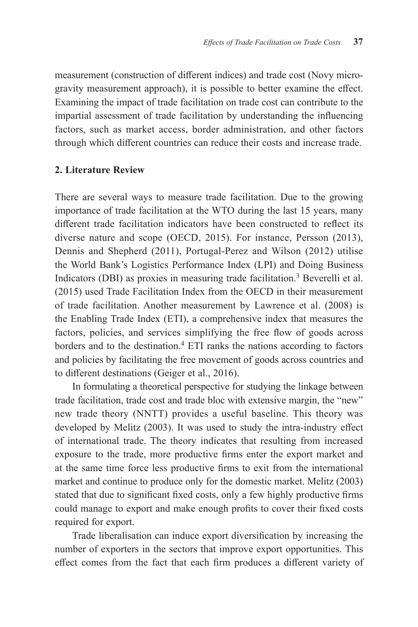measurement (construction of different indices) and trade cost (Novy microgravity measurement approach), it is possible to better examine the effect. Examining the impact of trade facilitation on trade cost can contribute to the impartial assessment of trade facilitation by understanding the influencing factors, such as market access, border administration, and other factors through which different countries can reduce their costs and increase trade.

#### **2. Literature Review**

There are several ways to measure trade facilitation. Due to the growing importance of trade facilitation at the WTO during the last 15 years, many different trade facilitation indicators have been constructed to reflect its diverse nature and scope (OECD, 2015). For instance, Persson (2013), Dennis and Shepherd (2011), Portugal-Perez and Wilson (2012) utilise the World Bank's Logistics Performance Index (LPI) and Doing Business Indicators (DBI) as proxies in measuring trade facilitation.<sup>3</sup> Beverelli et al. (2015) used Trade Facilitation Index from the OECD in their measurement of trade facilitation. Another measurement by Lawrence et al. (2008) is the Enabling Trade Index (ETI), a comprehensive index that measures the factors, policies, and services simplifying the free flow of goods across borders and to the destination. $4$  ETI ranks the nations according to factors and policies by facilitating the free movement of goods across countries and to different destinations (Geiger et al., 2016).

In formulating a theoretical perspective for studying the linkage between trade facilitation, trade cost and trade bloc with extensive margin, the "new" new trade theory (NNTT) provides a useful baseline. This theory was developed by Melitz (2003). It was used to study the intra-industry effect of international trade. The theory indicates that resulting from increased exposure to the trade, more productive firms enter the export market and at the same time force less productive firms to exit from the international market and continue to produce only for the domestic market. Melitz (2003) stated that due to significant fixed costs, only a few highly productive firms could manage to export and make enough profits to cover their fixed costs required for export.

Trade liberalisation can induce export diversification by increasing the number of exporters in the sectors that improve export opportunities. This effect comes from the fact that each firm produces a different variety of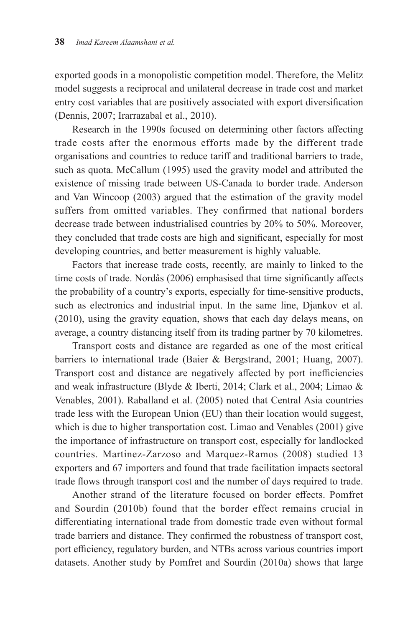exported goods in a monopolistic competition model. Therefore, the Melitz model suggests a reciprocal and unilateral decrease in trade cost and market entry cost variables that are positively associated with export diversification (Dennis, 2007; Irarrazabal et al., 2010).

Research in the 1990s focused on determining other factors affecting trade costs after the enormous efforts made by the different trade organisations and countries to reduce tariff and traditional barriers to trade, such as quota. McCallum (1995) used the gravity model and attributed the existence of missing trade between US-Canada to border trade. Anderson and Van Wincoop (2003) argued that the estimation of the gravity model suffers from omitted variables. They confirmed that national borders decrease trade between industrialised countries by 20% to 50%. Moreover, they concluded that trade costs are high and significant, especially for most developing countries, and better measurement is highly valuable.

Factors that increase trade costs, recently, are mainly to linked to the time costs of trade. Nordås (2006) emphasised that time significantly affects the probability of a country's exports, especially for time-sensitive products, such as electronics and industrial input. In the same line, Djankov et al. (2010), using the gravity equation, shows that each day delays means, on average, a country distancing itself from its trading partner by 70 kilometres.

Transport costs and distance are regarded as one of the most critical barriers to international trade (Baier & Bergstrand, 2001; Huang, 2007). Transport cost and distance are negatively affected by port inefficiencies and weak infrastructure (Blyde & Iberti, 2014; Clark et al., 2004; Limao & Venables, 2001). Raballand et al. (2005) noted that Central Asia countries trade less with the European Union (EU) than their location would suggest, which is due to higher transportation cost. Limao and Venables (2001) give the importance of infrastructure on transport cost, especially for landlocked countries. Martinez-Zarzoso and Marquez-Ramos (2008) studied 13 exporters and 67 importers and found that trade facilitation impacts sectoral trade flows through transport cost and the number of days required to trade.

Another strand of the literature focused on border effects. Pomfret and Sourdin (2010b) found that the border effect remains crucial in differentiating international trade from domestic trade even without formal trade barriers and distance. They confirmed the robustness of transport cost, port efficiency, regulatory burden, and NTBs across various countries import datasets. Another study by Pomfret and Sourdin (2010a) shows that large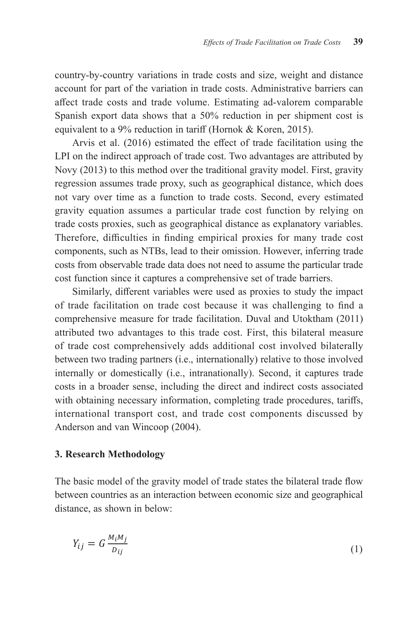country-by-country variations in trade costs and size, weight and distance account for part of the variation in trade costs. Administrative barriers can affect trade costs and trade volume. Estimating ad-valorem comparable Spanish export data shows that a 50% reduction in per shipment cost is equivalent to a 9% reduction in tariff (Hornok & Koren, 2015).

Arvis et al. (2016) estimated the effect of trade facilitation using the LPI on the indirect approach of trade cost. Two advantages are attributed by Novy (2013) to this method over the traditional gravity model. First, gravity regression assumes trade proxy, such as geographical distance, which does not vary over time as a function to trade costs. Second, every estimated gravity equation assumes a particular trade cost function by relying on  $\frac{1}{2}$  trade costs proxies, such as geographical distance as explanatory variables. Therefore, difficulties in finding empirical proxies for many trade cost components, such as NTBs, lead to their omission. However, inferring trade costs from observable trade data does not need to assume the particular trade cost function since it captures a comprehensive set of trade barriers.

Similarly, different variables were used as proxies to study the impact of trade facilitation on trade cost because it was challenging to find a comprehensive measure for trade facilitation. Duval and Utoktham  $(2011)$ attributed two advantages to this trade cost. First, this bilateral measure of trade cost comprehensively adds additional cost involved bilaterally between two trading partners (i.e., internationally) relative to those involved  $\text{internally}$  or domestically (i.e., intranationally). Second, it captures trade costs in a broader sense, including the direct and indirect costs associated with obtaining necessary information, completing trade procedures, tariffs, international transport cost, and trade cost components discussed by Anderson and van Wincoop  $(2004)$ .  $\mathbf{r}$ 

# **3. Research Methodology**

The basic model of the gravity model of trade states the bilateral trade flow between countries as an interaction between economic size and geographical<br>distance as shown in below. distance, as shown in below: and  $\alpha$  is shown in below.

$$
Y_{ij} = G \frac{M_i M_j}{D_{ij}} \tag{1}
$$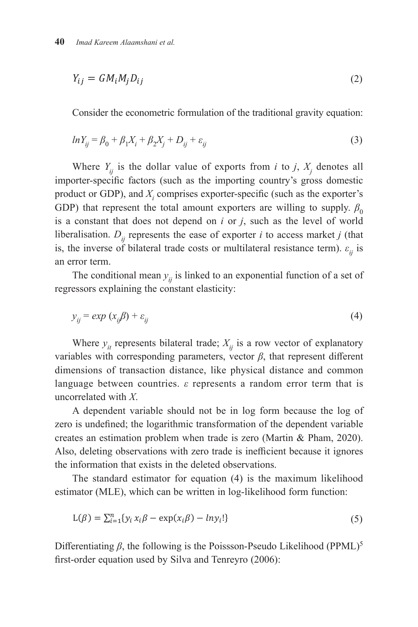$$
Y_{ij} = G M_i M_j D_{ij} \tag{2}
$$

 $\overline{0}$  + 1 + 2 + 2 +  $\overline{1}$  +  $\overline{2}$  +  $\overline{1}$  +  $\overline{2}$  +  $\overline{1}$  +  $\overline{2}$  +  $\overline{1}$  +  $\overline{2}$  +  $\overline{1}$  +  $\overline{2}$  +  $\overline{1}$  +  $\overline{2}$  +  $\overline{1}$  +  $\overline{2}$  +  $\overline{1}$  +  $\overline{2}$  +  $\overline{1}$  +  $\overline{2}$  + Consider the econometric formulation of the traditional gravity equation:

$$
ln Y_{ij} = \beta_0 + \beta_1 X_i + \beta_2 X_j + D_{ij} + \varepsilon_{ij}
$$
 (3)

Where  $Y_{ij}$  is the dollar value of exports from *i* to *j*,  $X_j$  denotes all importer-specific factors (such as the importing country's gross domestic product or GDP), and *X<sup>i</sup>* comprises exporter-specific (such as the exporter's GDP) that represent the total amount exporters are willing to supply.  $\beta_0$ is a constant that does not depend on *i* or *j*, such as the level of world liberalisation.  $D_{ii}$  represents the ease of exporter *i* to access market *j* (that is, the inverse of bilateral trade costs or multilateral resistance term).  $\varepsilon_{ij}$  is an error term.  $\frac{1}{2}$  gross domestic product or  $\frac{1}{2}$  contribute  $\frac{1}{2}$  comprises exponentially (such as  $\frac{1}{2}$  contribute  $\frac{1}{2}$  contribute  $\frac{1}{2}$  contribute  $\frac{1}{2}$  contribute  $\frac{1}{2}$  contribute  $\frac{1}{2}$  contri

The conditional mean  $y_{ij}$  is linked to an exponential function of a set of regressors explaining the constant elasticity: The conditional mean  $y_{ij}$  is linked to an exponential function of a set of

$$
y_{ij} = exp(x_{ij}\beta) + \varepsilon_{ij}
$$
 (4)

Where  $y_{it}$  represents bilateral trade;  $X_{ij}$  is a row vector of explanatory variables with corresponding parameters, vector  $\beta$ , that represent different  $d$  dimensions of transaction distance, like physical distance and common language between countries.  $\varepsilon$  represents a random error term that is  $\alpha$  correlated with *X*.  $T$  is linked to an exponential function of a set of  $\alpha$  set of  $\alpha$  set of  $\alpha$  set of  $\alpha$  set of  $\alpha$  set of  $\alpha$ Where  $y_{it}$  represe

A dependent variable should not be in log form because the log of zero is undefined; the logarithmic transformation of the dependent variable creates an estimation problem when trade is zero (Martin & Pham, 2020). Also, deleting observations with zero trade is inefficient because it ignores  $\epsilon$  the information that exists in the deleted observations.

mormation that exists in the defect observations.<br>The standard estimator for equation (4) is the maximum likelihood estimator (MLE), which can be written in log-likelihood form function:  $\sqrt{v^2+y^2}$ 

$$
L(\beta) = \sum_{i=1}^{n} \{y_i x_i \beta - \exp(x_i \beta) - l n y_i! \}
$$
 (5)

Differentiating *β*, the following is the Poissson-Pseudo Likelihood (PPML)<sup>5</sup> first-order equation used by Silva and Tenreyro (2006):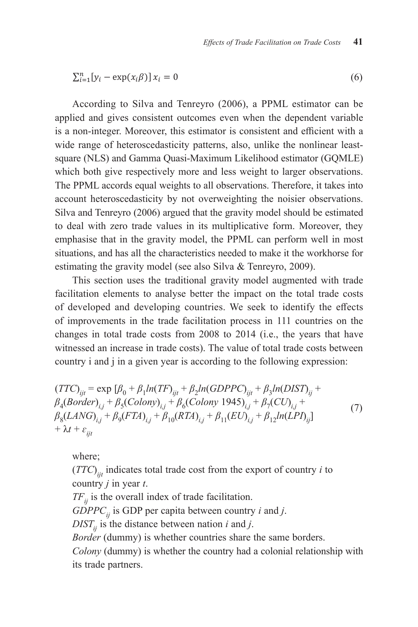$$
\sum_{i=1}^{n} [y_i - \exp(x_i \beta)] x_i = 0 \tag{6}
$$

According to Silva and Tenreyro (2006), a PPML estimator can be applied and gives consistent outcomes even when the dependent variable is a non-integer. Moreover, this estimator is consistent and efficient with a which integer processes, and estimated to consider the enterpretation of  $\mathbb{R}^n$ wide range of heteroscedasticity patterns, also, unlike the nonlinear leastsquare (NLS) and Gamma Quasi-Maximum Likelihood estimator (GQMLE) which both give respectively more and less weight to larger observations.  $PDM$  can perform weight to all observations. Therefore, it takes into The PPML accords equal weights to all observations. Therefore, it takes into account heteroscedasticity by not overweighting the noisier observations. Silva and Tenreyro (2006) argued that the gravity model should be estimated with the gravity model should be estimated to deal with zero trade values in its multiplicative form. Moreover, they situations, and has all the characteristics needed to make it the workhorse for emphasise that in the gravity model, the PPML can perform well in most estimating the gravity model (see also Silva & Tenreyro, 2009).

This section uses the traditional gravity model augmented with trade facilitation elements to analyse better the impact on the total trade costs of developed and developing countries. We seek to identify the effects of improvements in the trade facilitation process in 111 countries on the changes in total trade costs from 2008 to 2014 (i.e., the years that have witnessed an increase in trade costs). The value of total trade costs between country i and j in a given year is according to the following expression:

$$
(TTC)_{ijt} = \exp [ \beta_0 + \beta_1 ln(TF)_{ijt} + \beta_2 ln(GDPPC)_{ijt} + \beta_3 ln(DIST)_{ij} + \beta_4 (Border)_{i,j} + \beta_5 (Colony)_{i,j} + \beta_6 (Colony 1945)_{i,j} + \beta_7 (CU)_{i,j} + \beta_8 (LANG)_{i,j} + \beta_9 (FTA)_{i,j} + \beta_{10} (RTA)_{i,j} + \beta_{11} (EU)_{i,j} + \beta_{12} ln(LPI)_{ij} + \n+ \lambda t + \varepsilon_{ijt}
$$
\n(7)

where;

 $(TTC)$ <sub>ijt</sub> indicates total trade cost from the export of country *i* to country *j* in year *t*.

 $TF_{ii}$  is the overall index of trade facilitation.

 $G\text{DPPC}_{ii}$  is GDP per capita between country *i* and *j*.

 $DIST_{ij}$  is the distance between nation *i* and *j*.

*Border* (dummy) is whether countries share the same borders.

*Colony* (dummy) is whether the country had a colonial relationship with its trade partners.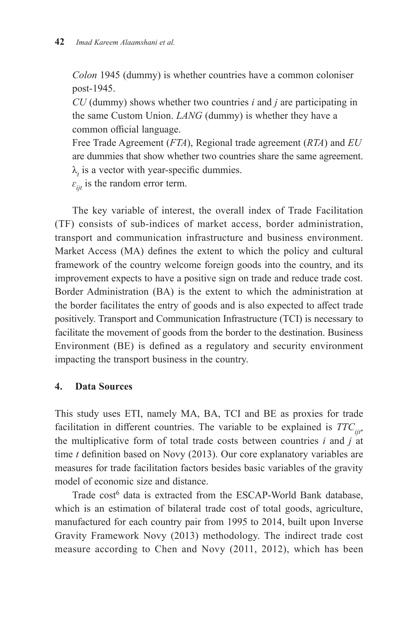*Colon* 1945 (dummy) is whether countries have a common coloniser post-1945.

*CU* (dummy) shows whether two countries *i* and *j* are participating in the same Custom Union. *LANG* (dummy) is whether they have a common official language.

Free Trade Agreement (*FTA*), Regional trade agreement (*RTA*) and *EU* are dummies that show whether two countries share the same agreement.  $\lambda$ <sub>t</sub> is a vector with year-specific dummies.

 $\varepsilon_{ii}$  is the random error term.

The key variable of interest, the overall index of Trade Facilitation (TF) consists of sub-indices of market access, border administration, transport and communication infrastructure and business environment. Market Access (MA) defines the extent to which the policy and cultural framework of the country welcome foreign goods into the country, and its improvement expects to have a positive sign on trade and reduce trade cost. Border Administration (BA) is the extent to which the administration at the border facilitates the entry of goods and is also expected to affect trade positively. Transport and Communication Infrastructure (TCI) is necessary to facilitate the movement of goods from the border to the destination. Business Environment (BE) is defined as a regulatory and security environment impacting the transport business in the country.

#### **4. Data Sources**

This study uses ETI, namely MA, BA, TCI and BE as proxies for trade facilitation in different countries. The variable to be explained is  $TTC_{ij}$ , the multiplicative form of total trade costs between countries *i* and *j* at time *t* definition based on Novy (2013). Our core explanatory variables are measures for trade facilitation factors besides basic variables of the gravity model of economic size and distance.

Trade cost<sup>6</sup> data is extracted from the ESCAP-World Bank database, which is an estimation of bilateral trade cost of total goods, agriculture, manufactured for each country pair from 1995 to 2014, built upon Inverse Gravity Framework Novy (2013) methodology. The indirect trade cost measure according to Chen and Novy (2011, 2012), which has been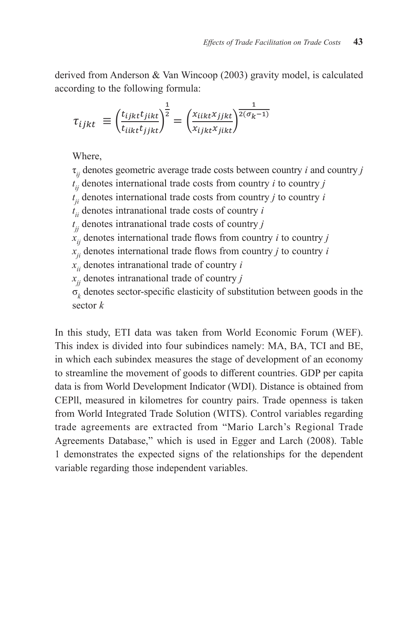derived from Anderson & Van Wincoop (2003) gravity model, is calculated according to the following formula:

$$
\tau_{ijkt} \equiv \left(\frac{t_{ijkt}t_{jikt}}{t_{iikt}t_{jikt}}\right)^{\frac{1}{2}} = \left(\frac{x_{iikt}x_{jikt}}{x_{ijkt}x_{jikt}}\right)^{\frac{1}{2(\sigma_k - 1)}}
$$

 $\frac{1}{\sqrt{2}}$  denotes geometric average trade control  $\frac{1}{\sqrt{2}}$ Where,

 $t$ <sup>*i*</sup> denotes international trade costs from contribution  $\mathbf{r}$  is *j*<sup>*i*</sup> to contribution *i* to contribution  $\mathbf{r}$ t*ji* denotes international trade costs from country *j* to country *i* τ*ij* denotes geometric average trade costs between country *i* and country *j*  $t_{ij}$  denotes international trade costs from country *i* to country *j*  $t_{ji}$  denotes international trade costs from country *j* to country *i* x*ij* denotes international trade flows from country *i* to country *j*  $t_{ii}$  denotes intranational trade costs of country *i*  $x_{jj}$  denotes intranational trade costs of country  $j$  $\hat{x}_{ij}$  denotes international trade flows from country *i* to country *j*  $\frac{d}{dx}$  denotes international trade flows from country *j* to country *i*  $\sum_{j}$  denotes intranational trade of country *j*  $\overline{\mathcal{U}}$  divided in to four subsets namely:  $\overline{\mathcal{U}}$  and  $\overline{\mathcal{U}}$  and  $\overline{\mathcal{U}}$  and  $\overline{\mathcal{U}}$  and BE, in which each subset measures the interference measures the interference measures the interference measure stage of development of an economy to streamline the movement of goods to different countries. σ*k* denotes sector-specific elasticity of substitution between goods in the  $\mathcal{E}$  per capital data is from World Development Indicator (WDI). Distance is obtained from  $\mathcal{E}$  $x_{ii}$  denotes intranational trade of country *i* sector *k*

In this study, ETI data was taken from World Economic Forum (WEF).  $\mu$  Regional Trade Agreements Database,  $\mu$  and  $\mu$  is used in Egger and Larch (2008). The  $\mu$ This index is divided into four subindices namely: MA, BA, TCI and BE, in which each subindex measures the stage of development of an economy data is from World Development Indicator (WDI). Distance is obtained from **5.** CEPII, measured in kilometres for country pairs. Trade openness is taken  $\Omega$  corresponds are sympated from "Monic Largh's Decisional Trades" trade agreements are extracted from "Mario Larch's Regional Trade Agreements Database," which is used in Egger and Larch (2008). Table 1 demonstrates the expected signs of the relationships for the dependent variable regarding those independent variables.  $\mathbf{f}$  is observed simultaneously for both exponents and important and important and imported  $\mathbf{f}$ to streamline the movement of goods to different countries. GDP per capita from World Integrated Trade Solution (WITS). Control variables regarding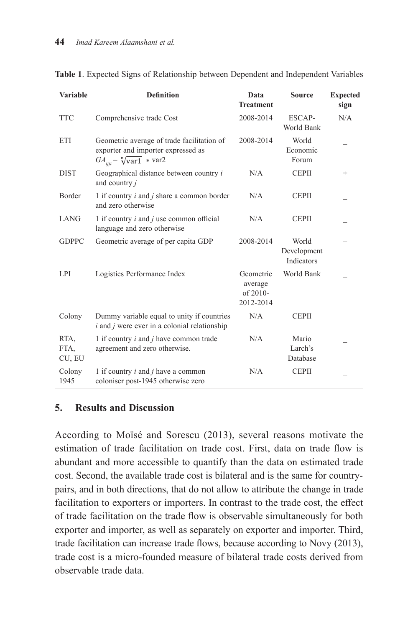| <b>Variable</b>        | <b>Definition</b>                                                                                                       | Data<br><b>Treatment</b>                      | <b>Source</b>                      | <b>Expected</b><br>sign |
|------------------------|-------------------------------------------------------------------------------------------------------------------------|-----------------------------------------------|------------------------------------|-------------------------|
| <b>TTC</b>             | Comprehensive trade Cost                                                                                                | 2008-2014                                     | ESCAP-<br>World Bank               | N/A                     |
| ETI                    | Geometric average of trade facilitation of<br>exporter and importer expressed as<br>$GA_{ijij} = \sqrt[n]{var1} * var2$ | 2008-2014                                     | World<br>Economic<br>Forum         |                         |
| <b>DIST</b>            | Geographical distance between country i<br>and country j                                                                | N/A                                           | <b>CEPII</b>                       | $+$                     |
| Border                 | 1 if country $i$ and $j$ share a common border<br>and zero otherwise                                                    | N/A                                           | <b>CEPII</b>                       |                         |
| <b>LANG</b>            | 1 if country $i$ and $j$ use common official<br>language and zero otherwise                                             | N/A                                           | <b>CEPII</b>                       |                         |
| <b>GDPPC</b>           | Geometric average of per capita GDP                                                                                     | 2008-2014                                     | World<br>Development<br>Indicators |                         |
| LPI                    | Logistics Performance Index                                                                                             | Geometric<br>average<br>of 2010-<br>2012-2014 | World Bank                         |                         |
| Colony                 | Dummy variable equal to unity if countries<br>$i$ and $j$ were ever in a colonial relationship                          | N/A                                           | <b>CEPII</b>                       |                         |
| RTA,<br>FTA,<br>CU, EU | 1 if country $i$ and $j$ have common trade<br>agreement and zero otherwise.                                             | N/A                                           | Mario<br>Larch's<br>Database       |                         |
| Colony<br>1945         | 1 if country $i$ and $j$ have a common<br>coloniser post-1945 otherwise zero                                            | N/A                                           | <b>CEPII</b>                       |                         |

**Table 1**. Expected Signs of Relationship between Dependent and Independent Variables **Table 1**. **Expected Signs of Relationship between Dependent and Independent Variables**

#### **5. Results and Discussion**

According to Moïsé and Sorescu (2013), several reasons motivate the estimation of trade facilitation on trade cost. First, data on trade flow is abundant and more accessible to quantify than the data on estimated trade cost. Second, the available trade cost is bilateral and is the same for countrypairs, and in both directions, that do not allow to attribute the change in trade facilitation to exporters or importers. In contrast to the trade cost, the effect of trade facilitation on the trade flow is observable simultaneously for both exporter and importer, as well as separately on exporter and importer. Third, trade facilitation can increase trade flows, because according to Novy (2013), trade cost is a micro-founded measure of bilateral trade costs derived from observable trade data.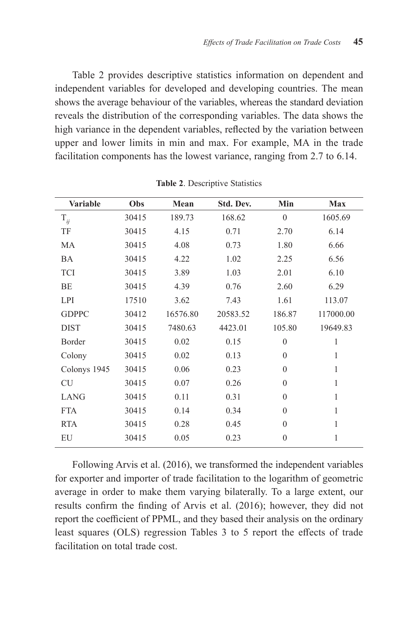Table 2 provides descriptive statistics information on dependent and independent variables for developed and developing countries. The mean shows the average behaviour of the variables, whereas the standard deviation reveals the distribution of the corresponding variables. The data shows the high variance in the dependent variables, reflected by the variation between upper and lower limits in min and max. For example, MA in the trade facilitation components has the lowest variance, ranging from 2.7 to 6.14.

| <b>Variable</b> | Obs   | Mean     | Std. Dev. | Min      | <b>Max</b> |
|-----------------|-------|----------|-----------|----------|------------|
| $T_{ij}$        | 30415 | 189.73   | 168.62    | $\theta$ | 1605.69    |
| TF              | 30415 | 4.15     | 0.71      | 2.70     | 6.14       |
| MA              | 30415 | 4.08     | 0.73      | 1.80     | 6.66       |
| <b>BA</b>       | 30415 | 4.22     | 1.02      | 2.25     | 6.56       |
| <b>TCI</b>      | 30415 | 3.89     | 1.03      | 2.01     | 6.10       |
| BE              | 30415 | 4.39     | 0.76      | 2.60     | 6.29       |
| LPI             | 17510 | 3.62     | 7.43      | 1.61     | 113.07     |
| <b>GDPPC</b>    | 30412 | 16576.80 | 20583.52  | 186.87   | 117000.00  |
| <b>DIST</b>     | 30415 | 7480.63  | 4423.01   | 105.80   | 19649.83   |
| Border          | 30415 | 0.02     | 0.15      | $\theta$ | 1          |
| Colony          | 30415 | 0.02     | 0.13      | $\theta$ | 1          |
| Colonys 1945    | 30415 | 0.06     | 0.23      | $\theta$ | 1          |
| <b>CU</b>       | 30415 | 0.07     | 0.26      | $\theta$ | 1          |
| <b>LANG</b>     | 30415 | 0.11     | 0.31      | $\theta$ | 1          |
| <b>FTA</b>      | 30415 | 0.14     | 0.34      | $\theta$ | 1          |
| <b>RTA</b>      | 30415 | 0.28     | 0.45      | $\theta$ | 1          |
| EU              | 30415 | 0.05     | 0.23      | $\theta$ | 1          |

**Table 2**. Descriptive Statistics

Following Arvis et al. (2016), we transformed the independent variables for exporter and importer of trade facilitation to the logarithm of geometric average in order to make them varying bilaterally. To a large extent, our results confirm the finding of Arvis et al. (2016); however, they did not report the coefficient of PPML, and they based their analysis on the ordinary least squares (OLS) regression Tables 3 to 5 report the effects of trade facilitation on total trade cost.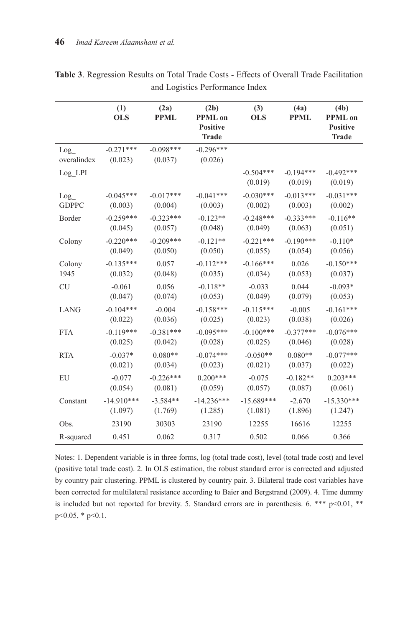|                    | (1)<br><b>OLS</b>      | (2a)<br><b>PPML</b>    | (2b)<br><b>PPML</b> on<br><b>Positive</b><br><b>Trade</b> | (3)<br><b>OLS</b>      | (4a)<br><b>PPML</b>    | (4b)<br><b>PPML</b> on<br><b>Positive</b><br><b>Trade</b> |
|--------------------|------------------------|------------------------|-----------------------------------------------------------|------------------------|------------------------|-----------------------------------------------------------|
| Log<br>overalindex | $-0.271***$<br>(0.023) | $-0.098***$<br>(0.037) | $-0.296***$<br>(0.026)                                    |                        |                        |                                                           |
| Log LPI            |                        |                        |                                                           | $-0.504***$<br>(0.019) | $-0.194***$<br>(0.019) | $-0.492***$<br>(0.019)                                    |
| Log                | $-0.045***$            | $-0.017***$            | $-0.041***$                                               | $-0.030***$            | $-0.013***$            | $-0.031***$                                               |
| <b>GDPPC</b>       | (0.003)                | (0.004)                | (0.003)                                                   | (0.002)                | (0.003)                | (0.002)                                                   |
| Border             | $-0.259***$            | $-0.323***$            | $-0.123**$                                                | $-0.248***$            | $-0.333***$            | $-0.116**$                                                |
|                    | (0.045)                | (0.057)                | (0.048)                                                   | (0.049)                | (0.063)                | (0.051)                                                   |
| Colony             | $-0.220***$            | $-0.209***$            | $-0.121**$                                                | $-0.221***$            | $-0.190***$            | $-0.110*$                                                 |
|                    | (0.049)                | (0.050)                | (0.050)                                                   | (0.055)                | (0.054)                | (0.056)                                                   |
| Colony             | $-0.135***$            | 0.057                  | $-0.112***$                                               | $-0.166***$            | 0.026                  | $-0.150***$                                               |
| 1945               | (0.032)                | (0.048)                | (0.035)                                                   | (0.034)                | (0.053)                | (0.037)                                                   |
| <b>CU</b>          | $-0.061$               | 0.056                  | $-0.118**$                                                | $-0.033$               | 0.044                  | $-0.093*$                                                 |
|                    | (0.047)                | (0.074)                | (0.053)                                                   | (0.049)                | (0.079)                | (0.053)                                                   |
| LANG               | $-0.104***$            | $-0.004$               | $-0.158***$                                               | $-0.115***$            | $-0.005$               | $-0.161***$                                               |
|                    | (0.022)                | (0.036)                | (0.025)                                                   | (0.023)                | (0.038)                | (0.026)                                                   |
| <b>FTA</b>         | $-0.119***$            | $-0.381***$            | $-0.095***$                                               | $-0.100***$            | $-0.377***$            | $-0.076***$                                               |
|                    | (0.025)                | (0.042)                | (0.028)                                                   | (0.025)                | (0.046)                | (0.028)                                                   |
| <b>RTA</b>         | $-0.037*$              | $0.080**$              | $-0.074***$                                               | $-0.050**$             | $0.080**$              | $-0.077***$                                               |
|                    | (0.021)                | (0.034)                | (0.023)                                                   | (0.021)                | (0.037)                | (0.022)                                                   |
| EU                 | $-0.077$               | $-0.226***$            | $0.200***$                                                | $-0.075$               | $-0.182**$             | $0.203***$                                                |
|                    | (0.054)                | (0.081)                | (0.059)                                                   | (0.057)                | (0.087)                | (0.061)                                                   |
| Constant           | $-14.910***$           | $-3.584**$             | $-14.236***$                                              | $-15.689***$           | $-2.670$               | $-15.330***$                                              |
|                    | (1.097)                | (1.769)                | (1.285)                                                   | (1.081)                | (1.896)                | (1.247)                                                   |
| Obs.               | 23190                  | 30303                  | 23190                                                     | 12255                  | 16616                  | 12255                                                     |
| R-squared          | 0.451                  | 0.062                  | 0.317                                                     | 0.502                  | 0.066                  | 0.366                                                     |

**Table 3**. Regression Results on Total Trade Costs - Effects of Overall Trade Facilitation and Logistics Performance Index

Notes: 1. Dependent variable is in three forms, log (total trade cost), level (total trade cost) and level (positive total trade cost). 2. In OLS estimation, the robust standard error is corrected and adjusted by country pair clustering. PPML is clustered by country pair. 3. Bilateral trade cost variables have been corrected for multilateral resistance according to Baier and Bergstrand (2009). 4. Time dummy is included but not reported for brevity. 5. Standard errors are in parenthesis. 6. \*\*\* p<0.01, \*\* p<0.05, \* p<0.1.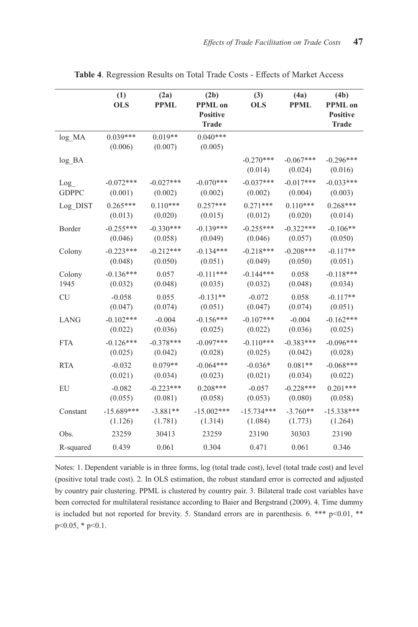|              | (1)<br><b>OLS</b>     | (2a)<br><b>PPML</b>  | (2b)<br><b>PPML</b> on<br><b>Positive</b><br><b>Trade</b> | (3)<br><b>OLS</b>      | (4a)<br><b>PPML</b>    | (4b)<br><b>PPML</b> on<br><b>Positive</b><br><b>Trade</b> |
|--------------|-----------------------|----------------------|-----------------------------------------------------------|------------------------|------------------------|-----------------------------------------------------------|
| log MA       | $0.039***$<br>(0.006) | $0.019**$<br>(0.007) | $0.040***$<br>(0.005)                                     |                        |                        |                                                           |
| log BA       |                       |                      |                                                           | $-0.270***$<br>(0.014) | $-0.067***$<br>(0.024) | $-0.296***$<br>(0.016)                                    |
| Log          | $-0.072***$           | $-0.027***$          | $-0.070***$                                               | $-0.037***$            | $-0.017***$            | $-0.033***$                                               |
| <b>GDPPC</b> | (0.001)               | (0.002)              | (0.002)                                                   | (0.002)                | (0.004)                | (0.003)                                                   |
| Log DIST     | $0.265***$            | $0.110***$           | $0.257***$                                                | $0.271***$             | $0.110***$             | $0.268***$                                                |
|              | (0.013)               | (0.020)              | (0.015)                                                   | (0.012)                | (0.020)                | (0.014)                                                   |
| Border       | $-0.255***$           | $-0.330***$          | $-0.139***$                                               | $-0.255***$            | $-0.322***$            | $-0.106**$                                                |
|              | (0.046)               | (0.058)              | (0.049)                                                   | (0.046)                | (0.057)                | (0.050)                                                   |
| Colony       | $-0.223***$           | $-0.212***$          | $-0.134***$                                               | $-0.218***$            | $-0.208***$            | $-0.117**$                                                |
|              | (0.048)               | (0.050)              | (0.051)                                                   | (0.049)                | (0.050)                | (0.051)                                                   |
| Colony       | $-0.136***$           | 0.057                | $-0.111***$                                               | $-0.144***$            | 0.058                  | $-0.118***$                                               |
| 1945         | (0.032)               | (0.048)              | (0.035)                                                   | (0.032)                | (0.048)                | (0.034)                                                   |
| <b>CU</b>    | $-0.058$              | 0.055                | $-0.131**$                                                | $-0.072$               | 0.058                  | $-0.117**$                                                |
|              | (0.047)               | (0.074)              | (0.051)                                                   | (0.047)                | (0.074)                | (0.051)                                                   |
| <b>LANG</b>  | $-0.102***$           | $-0.004$             | $-0.156***$                                               | $-0.107***$            | $-0.004$               | $-0.162***$                                               |
|              | (0.022)               | (0.036)              | (0.025)                                                   | (0.022)                | (0.036)                | (0.025)                                                   |
| <b>FTA</b>   | $-0.126***$           | $-0.378***$          | $-0.097***$                                               | $-0.110***$            | $-0.383***$            | $-0.096***$                                               |
|              | (0.025)               | (0.042)              | (0.028)                                                   | (0.025)                | (0.042)                | (0.028)                                                   |
| <b>RTA</b>   | $-0.032$              | $0.079**$            | $-0.064***$                                               | $-0.036*$              | $0.081**$              | $-0.068***$                                               |
|              | (0.021)               | (0.034)              | (0.023)                                                   | (0.021)                | (0.034)                | (0.022)                                                   |
| EU           | $-0.082$              | $-0.223***$          | $0.208***$                                                | $-0.057$               | $-0.228***$            | $0.201***$                                                |
|              | (0.055)               | (0.081)              | (0.058)                                                   | (0.053)                | (0.080)                | (0.058)                                                   |
| Constant     | $-15.689***$          | $-3.881**$           | $-15.002***$                                              | $-15.734***$           | $-3.760**$             | $-15.338***$                                              |
|              | (1.126)               | (1.781)              | (1.314)                                                   | (1.084)                | (1.773)                | (1.264)                                                   |
| Obs.         | 23259                 | 30413                | 23259                                                     | 23190                  | 30303                  | 23190                                                     |
| R-squared    | 0.439                 | 0.061                | 0.304                                                     | 0.471                  | 0.061                  | 0.346                                                     |

**Table 4**. Regression Results on Total Trade Costs - Effects of Market Access

Notes: 1. Dependent variable is in three forms, log (total trade cost), level (total trade cost) and level (positive total trade cost). 2. In OLS estimation, the robust standard error is corrected and adjusted by country pair clustering. PPML is clustered by country pair. 3. Bilateral trade cost variables have been corrected for multilateral resistance according to Baier and Bergstrand (2009). 4. Time dummy is included but not reported for brevity. 5. Standard errors are in parenthesis. 6. \*\*\* p<0.01, \*\* p<0.05, \* p<0.1.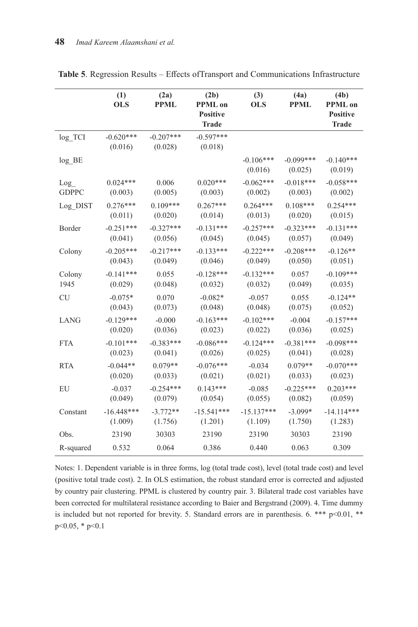|              | (1)<br><b>OLS</b>      | (2a)<br><b>PPML</b>    | (2b)<br><b>PPML</b> on<br><b>Positive</b><br><b>Trade</b> | (3)<br><b>OLS</b>      | (4a)<br><b>PPML</b>    | (4b)<br><b>PPML</b> on<br><b>Positive</b><br><b>Trade</b> |
|--------------|------------------------|------------------------|-----------------------------------------------------------|------------------------|------------------------|-----------------------------------------------------------|
| log TCI      | $-0.620***$<br>(0.016) | $-0.207***$<br>(0.028) | $-0.597***$<br>(0.018)                                    |                        |                        |                                                           |
| $log$ $BE$   |                        |                        |                                                           | $-0.106***$<br>(0.016) | $-0.099***$<br>(0.025) | $-0.140***$<br>(0.019)                                    |
| Log          | $0.024***$             | 0.006                  | $0.020***$                                                | $-0.062***$            | $-0.018***$            | $-0.058***$                                               |
| <b>GDPPC</b> | (0.003)                | (0.005)                | (0.003)                                                   | (0.002)                | (0.003)                | (0.002)                                                   |
| Log DIST     | $0.276***$             | $0.109***$             | $0.267***$                                                | $0.264***$             | $0.108***$             | $0.254***$                                                |
|              | (0.011)                | (0.020)                | (0.014)                                                   | (0.013)                | (0.020)                | (0.015)                                                   |
| Border       | $-0.251***$            | $-0.327***$            | $-0.131***$                                               | $-0.257***$            | $-0.323***$            | $-0.131***$                                               |
|              | (0.041)                | (0.056)                | (0.045)                                                   | (0.045)                | (0.057)                | (0.049)                                                   |
| Colony       | $-0.205***$            | $-0.217***$            | $-0.133***$                                               | $-0.222***$            | $-0.208***$            | $-0.126**$                                                |
|              | (0.043)                | (0.049)                | (0.046)                                                   | (0.049)                | (0.050)                | (0.051)                                                   |
| Colony       | $-0.141***$            | 0.055                  | $-0.128***$                                               | $-0.132***$            | 0.057                  | $-0.109***$                                               |
| 1945         | (0.029)                | (0.048)                | (0.032)                                                   | (0.032)                | (0.049)                | (0.035)                                                   |
| <b>CU</b>    | $-0.075*$              | 0.070                  | $-0.082*$                                                 | $-0.057$               | 0.055                  | $-0.124**$                                                |
|              | (0.043)                | (0.073)                | (0.048)                                                   | (0.048)                | (0.075)                | (0.052)                                                   |
| <b>LANG</b>  | $-0.129***$            | $-0.000$               | $-0.163***$                                               | $-0.102***$            | $-0.004$               | $-0.157***$                                               |
|              | (0.020)                | (0.036)                | (0.023)                                                   | (0.022)                | (0.036)                | (0.025)                                                   |
| <b>FTA</b>   | $-0.101***$            | $-0.383***$            | $-0.086***$                                               | $-0.124***$            | $-0.381***$            | $-0.098***$                                               |
|              | (0.023)                | (0.041)                | (0.026)                                                   | (0.025)                | (0.041)                | (0.028)                                                   |
| <b>RTA</b>   | $-0.044**$             | $0.079**$              | $-0.076***$                                               | $-0.034$               | $0.079**$              | $-0.070***$                                               |
|              | (0.020)                | (0.033)                | (0.021)                                                   | (0.021)                | (0.033)                | (0.023)                                                   |
| EU           | $-0.037$               | $-0.254***$            | $0.143***$                                                | $-0.085$               | $-0.225***$            | $0.203***$                                                |
|              | (0.049)                | (0.079)                | (0.054)                                                   | (0.055)                | (0.082)                | (0.059)                                                   |
| Constant     | $-16.448***$           | $-3.772**$             | $-15.541***$                                              | $-15.137***$           | $-3.099*$              | $-14.114***$                                              |
|              | (1.009)                | (1.756)                | (1.201)                                                   | (1.109)                | (1.750)                | (1.283)                                                   |
| Obs.         | 23190                  | 30303                  | 23190                                                     | 23190                  | 30303                  | 23190                                                     |
| R-squared    | 0.532                  | 0.064                  | 0.386                                                     | 0.440                  | 0.063                  | 0.309                                                     |

**Table 5**. Regression Results – Effects ofTransport and Communications Infrastructure

Notes: 1. Dependent variable is in three forms, log (total trade cost), level (total trade cost) and level (positive total trade cost). 2. In OLS estimation, the robust standard error is corrected and adjusted by country pair clustering. PPML is clustered by country pair. 3. Bilateral trade cost variables have been corrected for multilateral resistance according to Baier and Bergstrand (2009). 4. Time dummy is included but not reported for brevity. 5. Standard errors are in parenthesis. 6. \*\*\*  $p<0.01$ , \*\* p<0.05, \* p<0.1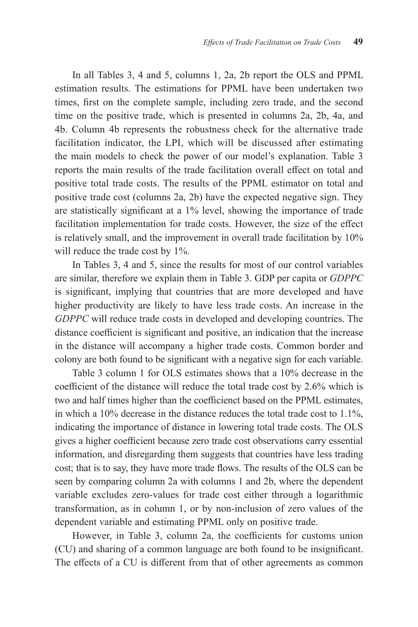In all Tables 3, 4 and 5, columns 1, 2a, 2b report the OLS and PPML estimation results. The estimations for PPML have been undertaken two times, first on the complete sample, including zero trade, and the second time on the positive trade, which is presented in columns 2a, 2b, 4a, and 4b. Column 4b represents the robustness check for the alternative trade facilitation indicator, the LPI, which will be discussed after estimating the main models to check the power of our model's explanation. Table 3 reports the main results of the trade facilitation overall effect on total and positive total trade costs. The results of the PPML estimator on total and positive trade cost (columns 2a, 2b) have the expected negative sign. They are statistically significant at a 1% level, showing the importance of trade facilitation implementation for trade costs. However, the size of the effect is relatively small, and the improvement in overall trade facilitation by 10% will reduce the trade cost by 1%.

In Tables 3, 4 and 5, since the results for most of our control variables are similar, therefore we explain them in Table 3. GDP per capita or *GDPPC*  is significant, implying that countries that are more developed and have higher productivity are likely to have less trade costs. An increase in the *GDPPC* will reduce trade costs in developed and developing countries. The distance coefficient is significant and positive, an indication that the increase in the distance will accompany a higher trade costs. Common border and colony are both found to be significant with a negative sign for each variable.

Table 3 column 1 for OLS estimates shows that a 10% decrease in the coefficient of the distance will reduce the total trade cost by 2.6% which is two and half times higher than the coefficienct based on the PPML estimates, in which a 10% decrease in the distance reduces the total trade cost to 1.1%, indicating the importance of distance in lowering total trade costs. The OLS gives a higher coefficient because zero trade cost observations carry essential information, and disregarding them suggests that countries have less trading cost; that is to say, they have more trade flows. The results of the OLS can be seen by comparing column 2a with columns 1 and 2b, where the dependent variable excludes zero-values for trade cost either through a logarithmic transformation, as in column 1, or by non-inclusion of zero values of the dependent variable and estimating PPML only on positive trade.

However, in Table 3, column 2a, the coefficients for customs union (CU) and sharing of a common language are both found to be insignificant. The effects of a CU is different from that of other agreements as common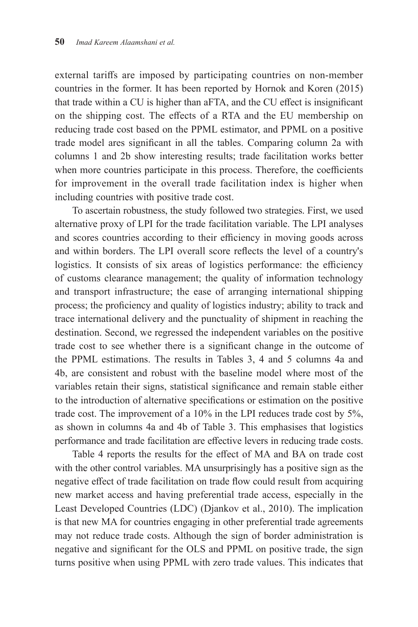external tariffs are imposed by participating countries on non-member countries in the former. It has been reported by Hornok and Koren (2015) that trade within a CU is higher than aFTA, and the CU effect is insignificant on the shipping cost. The effects of a RTA and the EU membership on reducing trade cost based on the PPML estimator, and PPML on a positive trade model ares significant in all the tables. Comparing column 2a with columns 1 and 2b show interesting results; trade facilitation works better when more countries participate in this process. Therefore, the coefficients for improvement in the overall trade facilitation index is higher when including countries with positive trade cost.

To ascertain robustness, the study followed two strategies. First, we used alternative proxy of LPI for the trade facilitation variable. The LPI analyses and scores countries according to their efficiency in moving goods across and within borders. The LPI overall score reflects the level of a country's logistics. It consists of six areas of logistics performance: the efficiency of customs clearance management; the quality of information technology and transport infrastructure; the ease of arranging international shipping process; the proficiency and quality of logistics industry; ability to track and trace international delivery and the punctuality of shipment in reaching the destination. Second, we regressed the independent variables on the positive trade cost to see whether there is a significant change in the outcome of the PPML estimations. The results in Tables 3, 4 and 5 columns 4a and 4b, are consistent and robust with the baseline model where most of the variables retain their signs, statistical significance and remain stable either to the introduction of alternative specifications or estimation on the positive trade cost. The improvement of a 10% in the LPI reduces trade cost by 5%, as shown in columns 4a and 4b of Table 3. This emphasises that logistics performance and trade facilitation are effective levers in reducing trade costs.

Table 4 reports the results for the effect of MA and BA on trade cost with the other control variables. MA unsurprisingly has a positive sign as the negative effect of trade facilitation on trade flow could result from acquiring new market access and having preferential trade access, especially in the Least Developed Countries (LDC) (Djankov et al., 2010). The implication is that new MA for countries engaging in other preferential trade agreements may not reduce trade costs. Although the sign of border administration is negative and significant for the OLS and PPML on positive trade, the sign turns positive when using PPML with zero trade values. This indicates that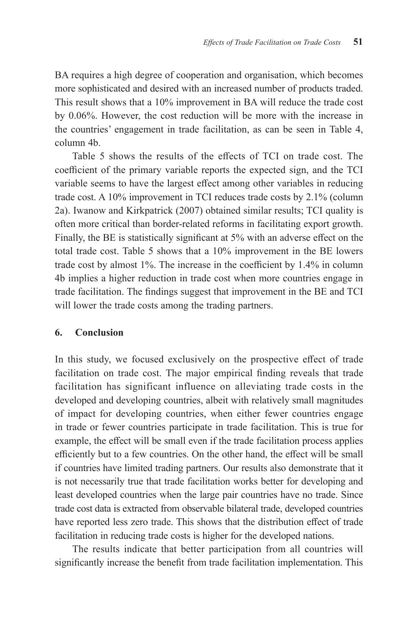BA requires a high degree of cooperation and organisation, which becomes more sophisticated and desired with an increased number of products traded. This result shows that a 10% improvement in BA will reduce the trade cost by 0.06%. However, the cost reduction will be more with the increase in the countries' engagement in trade facilitation, as can be seen in Table 4, column 4b.

Table 5 shows the results of the effects of TCI on trade cost. The coefficient of the primary variable reports the expected sign, and the TCI variable seems to have the largest effect among other variables in reducing trade cost. A 10% improvement in TCI reduces trade costs by 2.1% (column 2a). Iwanow and Kirkpatrick (2007) obtained similar results; TCI quality is often more critical than border-related reforms in facilitating export growth. Finally, the BE is statistically significant at 5% with an adverse effect on the total trade cost. Table 5 shows that a 10% improvement in the BE lowers trade cost by almost 1%. The increase in the coefficient by 1.4% in column 4b implies a higher reduction in trade cost when more countries engage in trade facilitation. The findings suggest that improvement in the BE and TCI will lower the trade costs among the trading partners.

#### **6. Conclusion**

In this study, we focused exclusively on the prospective effect of trade facilitation on trade cost. The major empirical finding reveals that trade facilitation has significant influence on alleviating trade costs in the developed and developing countries, albeit with relatively small magnitudes of impact for developing countries, when either fewer countries engage in trade or fewer countries participate in trade facilitation. This is true for example, the effect will be small even if the trade facilitation process applies efficiently but to a few countries. On the other hand, the effect will be small if countries have limited trading partners. Our results also demonstrate that it is not necessarily true that trade facilitation works better for developing and least developed countries when the large pair countries have no trade. Since trade cost data is extracted from observable bilateral trade, developed countries have reported less zero trade. This shows that the distribution effect of trade facilitation in reducing trade costs is higher for the developed nations.

The results indicate that better participation from all countries will significantly increase the benefit from trade facilitation implementation. This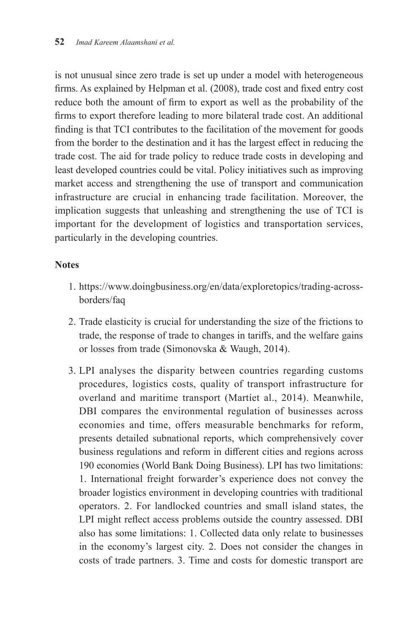is not unusual since zero trade is set up under a model with heterogeneous firms. As explained by Helpman et al. (2008), trade cost and fixed entry cost reduce both the amount of firm to export as well as the probability of the firms to export therefore leading to more bilateral trade cost. An additional finding is that TCI contributes to the facilitation of the movement for goods from the border to the destination and it has the largest effect in reducing the trade cost. The aid for trade policy to reduce trade costs in developing and least developed countries could be vital. Policy initiatives such as improving market access and strengthening the use of transport and communication infrastructure are crucial in enhancing trade facilitation. Moreover, the implication suggests that unleashing and strengthening the use of TCI is important for the development of logistics and transportation services, particularly in the developing countries.

### **Notes**

- 1. https://www.doingbusiness.org/en/data/exploretopics/trading-acrossborders/faq
- 2. Trade elasticity is crucial for understanding the size of the frictions to trade, the response of trade to changes in tariffs, and the welfare gains or losses from trade (Simonovska & Waugh, 2014).
- 3. LPI analyses the disparity between countries regarding customs procedures, logistics costs, quality of transport infrastructure for overland and maritime transport (Martíet al., 2014). Meanwhile, DBI compares the environmental regulation of businesses across economies and time, offers measurable benchmarks for reform, presents detailed subnational reports, which comprehensively cover business regulations and reform in different cities and regions across 190 economies (World Bank Doing Business). LPI has two limitations: 1. International freight forwarder's experience does not convey the broader logistics environment in developing countries with traditional operators. 2. For landlocked countries and small island states, the LPI might reflect access problems outside the country assessed. DBI also has some limitations: 1. Collected data only relate to businesses in the economy's largest city. 2. Does not consider the changes in costs of trade partners. 3. Time and costs for domestic transport are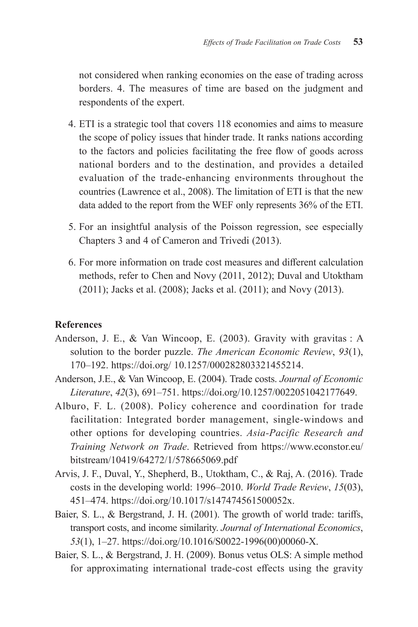not considered when ranking economies on the ease of trading across borders. 4. The measures of time are based on the judgment and respondents of the expert.

- 4. ETI is a strategic tool that covers 118 economies and aims to measure the scope of policy issues that hinder trade. It ranks nations according to the factors and policies facilitating the free flow of goods across national borders and to the destination, and provides a detailed evaluation of the trade-enhancing environments throughout the countries (Lawrence et al., 2008). The limitation of ETI is that the new data added to the report from the WEF only represents 36% of the ETI.
- 5. For an insightful analysis of the Poisson regression, see especially Chapters 3 and 4 of Cameron and Trivedi (2013).
- 6. For more information on trade cost measures and different calculation methods, refer to Chen and Novy (2011, 2012); Duval and Utoktham (2011); Jacks et al. (2008); Jacks et al. (2011); and Novy (2013).

#### **References**

- Anderson, J. E., & Van Wincoop, E. (2003). Gravity with gravitas : A solution to the border puzzle. *The American Economic Review*, *93*(1), 170–192. https://doi.org/ 10.1257/000282803321455214.
- Anderson, J.E., & Van Wincoop, E. (2004). Trade costs. *Journal of Economic Literature*, *42*(3), 691–751. https://doi.org/10.1257/0022051042177649.
- Alburo, F. L. (2008). Policy coherence and coordination for trade facilitation: Integrated border management, single-windows and other options for developing countries. *Asia-Pacific Research and Training Network on Trade*. Retrieved from https://www.econstor.eu/ bitstream/10419/64272/1/578665069.pdf
- Arvis, J. F., Duval, Y., Shepherd, B., Utoktham, C., & Raj, A. (2016). Trade costs in the developing world: 1996–2010. *World Trade Review*, *15*(03), 451–474. https://doi.org/10.1017/s147474561500052x.
- Baier, S. L., & Bergstrand, J. H. (2001). The growth of world trade: tariffs, transport costs, and income similarity. *Journal of International Economics*, *53*(1), 1–27. https://doi.org/10.1016/S0022-1996(00)00060-X.
- Baier, S. L., & Bergstrand, J. H. (2009). Bonus vetus OLS: A simple method for approximating international trade-cost effects using the gravity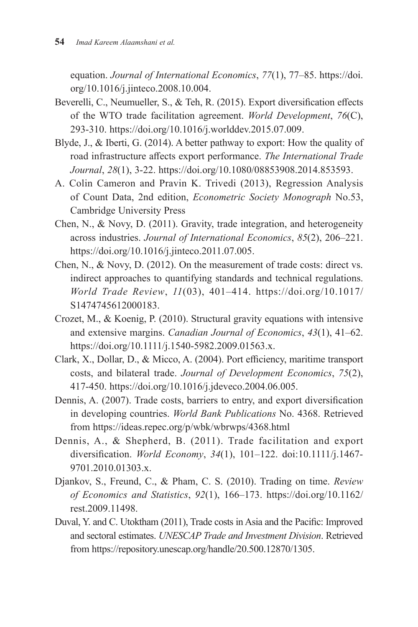equation. *Journal of International Economics*, *77*(1), 77–85. https://doi. org/10.1016/j.jinteco.2008.10.004.

- Beverelli, C., Neumueller, S., & Teh, R. (2015). Export diversification effects of the WTO trade facilitation agreement. *World Development*, *76*(C), 293-310. https://doi.org/10.1016/j.worlddev.2015.07.009.
- Blyde, J., & Iberti, G. (2014). A better pathway to export: How the quality of road infrastructure affects export performance. *The International Trade Journal*, *28*(1), 3-22. https://doi.org/10.1080/08853908.2014.853593.
- A. Colin Cameron and Pravin K. Trivedi (2013), Regression Analysis of Count Data, 2nd edition, *Econometric Society Monograph* No.53, Cambridge University Press
- Chen, N., & Novy, D. (2011). Gravity, trade integration, and heterogeneity across industries. *Journal of International Economics*, *85*(2), 206–221. https://doi.org/10.1016/j.jinteco.2011.07.005.
- Chen, N., & Novy, D. (2012). On the measurement of trade costs: direct vs. indirect approaches to quantifying standards and technical regulations. *World Trade Review*, *11*(03), 401–414. https://doi.org/10.1017/ S1474745612000183.
- Crozet, M., & Koenig, P. (2010). Structural gravity equations with intensive and extensive margins. *Canadian Journal of Economics*, *43*(1), 41–62. https://doi.org/10.1111/j.1540-5982.2009.01563.x.
- Clark, X., Dollar, D., & Micco, A. (2004). Port efficiency, maritime transport costs, and bilateral trade. *Journal of Development Economics*, *75*(2), 417-450. https://doi.org/10.1016/j.jdeveco.2004.06.005.
- Dennis, A. (2007). Trade costs, barriers to entry, and export diversification in developing countries. *World Bank Publications* No. 4368. Retrieved from https://ideas.repec.org/p/wbk/wbrwps/4368.html
- Dennis, A., & Shepherd, B. (2011). Trade facilitation and export diversification. *World Economy*, *34*(1), 101–122. doi:10.1111/j.1467- 9701.2010.01303.x.
- Djankov, S., Freund, C., & Pham, C. S. (2010). Trading on time. *Review of Economics and Statistics*, *92*(1), 166–173. https://doi.org/10.1162/ rest.2009.11498.
- Duval, Y. and C. Utoktham (2011), Trade costs in Asia and the Pacific: Improved and sectoral estimates. *UNESCAP Trade and Investment Division*. Retrieved from https://repository.unescap.org/handle/20.500.12870/1305.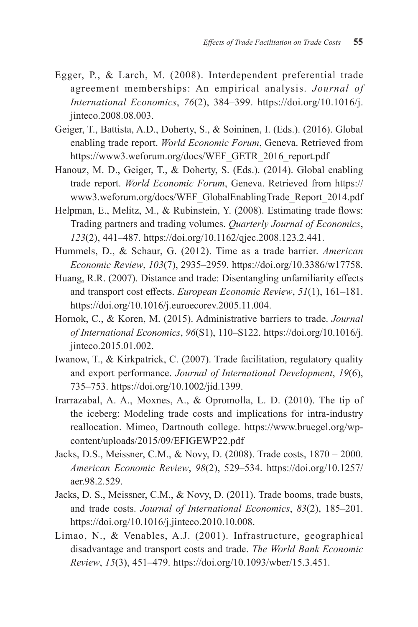- Egger, P., & Larch, M. (2008). Interdependent preferential trade agreement memberships: An empirical analysis. *Journal of International Economics*, *76*(2), 384–399. https://doi.org/10.1016/j. jinteco.2008.08.003.
- Geiger, T., Battista, A.D., Doherty, S., & Soininen, I. (Eds.). (2016). Global enabling trade report. *World Economic Forum*, Geneva. Retrieved from https://www3.weforum.org/docs/WEF\_GETR\_2016\_report.pdf
- Hanouz, M. D., Geiger, T., & Doherty, S. (Eds.). (2014). Global enabling trade report. *World Economic Forum*, Geneva. Retrieved from https:// www3.weforum.org/docs/WEF\_GlobalEnablingTrade\_Report\_2014.pdf
- Helpman, E., Melitz, M., & Rubinstein, Y. (2008). Estimating trade flows: Trading partners and trading volumes. *Quarterly Journal of Economics*, *123*(2), 441–487. https://doi.org/10.1162/qjec.2008.123.2.441.
- Hummels, D., & Schaur, G. (2012). Time as a trade barrier. *American Economic Review*, *103*(7), 2935–2959. https://doi.org/10.3386/w17758.
- Huang, R.R. (2007). Distance and trade: Disentangling unfamiliarity effects and transport cost effects. *European Economic Review*, *51*(1), 161–181. https://doi.org/10.1016/j.euroecorev.2005.11.004.
- Hornok, C., & Koren, M. (2015). Administrative barriers to trade. *Journal of International Economics*, *96*(S1), 110–S122. https://doi.org/10.1016/j. jinteco.2015.01.002.
- Iwanow, T., & Kirkpatrick, C. (2007). Trade facilitation, regulatory quality and export performance. *Journal of International Development*, *19*(6), 735–753. https://doi.org/10.1002/jid.1399.
- Irarrazabal, A. A., Moxnes, A., & Opromolla, L. D. (2010). The tip of the iceberg: Modeling trade costs and implications for intra-industry reallocation. Mimeo, Dartnouth college. https://www.bruegel.org/wpcontent/uploads/2015/09/EFIGEWP22.pdf
- Jacks, D.S., Meissner, C.M., & Novy, D. (2008). Trade costs, 1870 2000. *American Economic Review*, *98*(2), 529–534. https://doi.org/10.1257/ aer.98.2.529.
- Jacks, D. S., Meissner, C.M., & Novy, D. (2011). Trade booms, trade busts, and trade costs. *Journal of International Economics*, *83*(2), 185–201. https://doi.org/10.1016/j.jinteco.2010.10.008.
- Limao, N., & Venables, A.J. (2001). Infrastructure, geographical disadvantage and transport costs and trade. *The World Bank Economic Review*, *15*(3), 451–479. https://doi.org/10.1093/wber/15.3.451.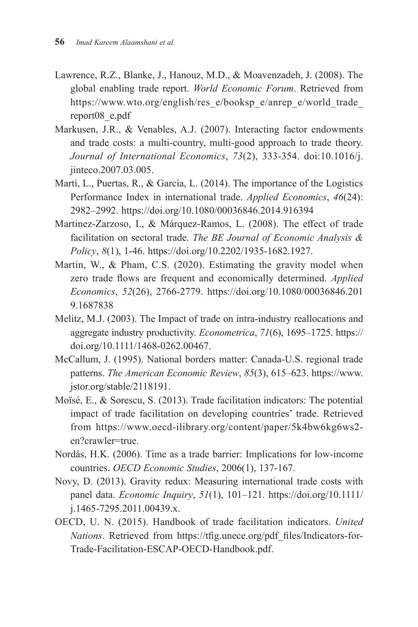- Lawrence, R.Z., Blanke, J., Hanouz, M.D., & Moavenzadeh, J. (2008). The global enabling trade report. *World Economic Forum*. Retrieved from https://www.wto.org/english/res\_e/booksp\_e/anrep\_e/world\_trade report08\_e.pdf
- Markusen, J.R., & Venables, A.J. (2007). Interacting factor endowments and trade costs: a multi-country, multi-good approach to trade theory. *Journal of International Economics*, *73*(2), 333-354. doi:10.1016/j. jinteco.2007.03.005.
- Martí, L., Puertas, R., & García, L. (2014). The importance of the Logistics Performance Index in international trade. *Applied Economics*, *46*(24): 2982–2992. https://doi.org/10.1080/00036846.2014.916394
- Martinez-Zarzoso, I., & Márquez-Ramos, L. (2008). The effect of trade facilitation on sectoral trade. *The BE Journal of Economic Analysis & Policy*, *8*(1), 1-46. https://doi.org/10.2202/1935-1682.1927.
- Martin, W., & Pham, C.S. (2020). Estimating the gravity model when zero trade flows are frequent and economically determined. *Applied Economics*, *52*(26), 2766-2779. https://doi.org/10.1080/00036846.201 9.1687838
- Melitz, M.J. (2003). The Impact of trade on intra-industry reallocations and aggregate industry productivity. *Econometrica*, *71*(6), 1695–1725. https:// doi.org/10.1111/1468-0262.00467.
- McCallum, J. (1995). National borders matter: Canada-U.S. regional trade patterns. *The American Economic Review*, *85*(3), 615–623. https://www. jstor.org/stable/2118191.
- Moïsé, E., & Sorescu, S. (2013). Trade facilitation indicators: The potential impact of trade facilitation on developing countries' trade. Retrieved from https://www.oecd-ilibrary.org/content/paper/5k4bw6kg6ws2 en?crawler=true.
- Nordås, H.K. (2006). Time as a trade barrier: Implications for low-income countries. *OECD Economic Studies*, 2006(1), 137-167.
- Novy, D. (2013). Gravity redux: Measuring international trade costs with panel data. *Economic Inquiry*, *51*(1), 101–121. https://doi.org/10.1111/ j.1465-7295.2011.00439.x.
- OECD, U. N. (2015). Handbook of trade facilitation indicators. *United Nations*. Retrieved from https://tfig.unece.org/pdf\_files/Indicators-for-Trade-Facilitation-ESCAP-OECD-Handbook.pdf.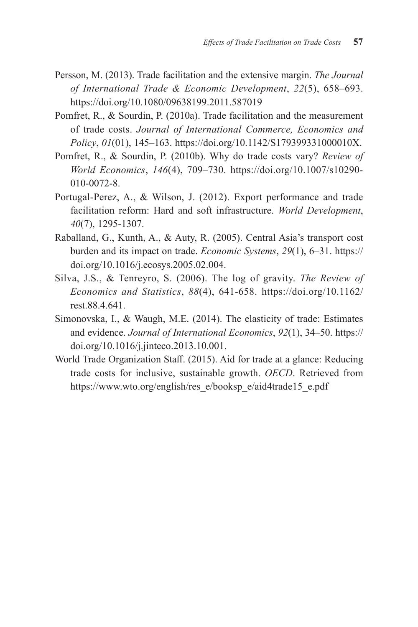- Persson, M. (2013). Trade facilitation and the extensive margin. *The Journal of International Trade & Economic Development*, *22*(5), 658–693. https://doi.org/10.1080/09638199.2011.587019
- Pomfret, R., & Sourdin, P. (2010a). Trade facilitation and the measurement of trade costs. *Journal of International Commerce, Economics and Policy*, *01*(01), 145–163. https://doi.org/10.1142/S179399331000010X.
- Pomfret, R., & Sourdin, P. (2010b). Why do trade costs vary? *Review of World Economics*, *146*(4), 709–730. https://doi.org/10.1007/s10290- 010-0072-8.
- Portugal-Perez, A., & Wilson, J. (2012). Export performance and trade facilitation reform: Hard and soft infrastructure. *World Development*, *40*(7), 1295-1307.
- Raballand, G., Kunth, A., & Auty, R. (2005). Central Asia's transport cost burden and its impact on trade. *Economic Systems*, *29*(1), 6–31. https:// doi.org/10.1016/j.ecosys.2005.02.004.
- Silva, J.S., & Tenreyro, S. (2006). The log of gravity. *The Review of Economics and Statistics*, *88*(4), 641-658. https://doi.org/10.1162/ rest.88.4.641.
- Simonovska, I., & Waugh, M.E. (2014). The elasticity of trade: Estimates and evidence. *Journal of International Economics*, *92*(1), 34–50. https:// doi.org/10.1016/j.jinteco.2013.10.001.
- World Trade Organization Staff. (2015). Aid for trade at a glance: Reducing trade costs for inclusive, sustainable growth. *OECD*. Retrieved from https://www.wto.org/english/res\_e/booksp\_e/aid4trade15\_e.pdf